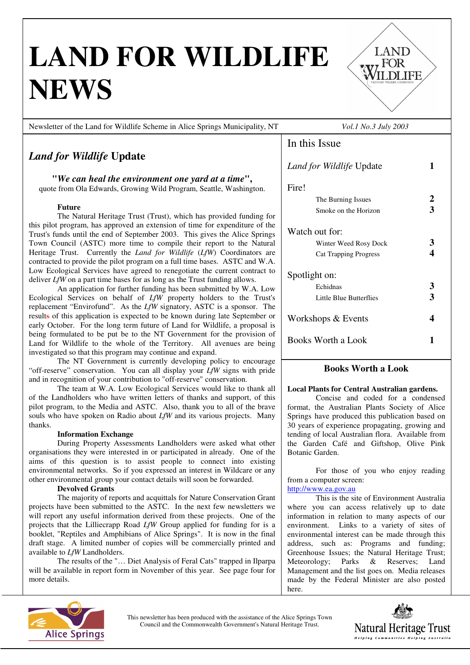# **LAND FOR WILDLIFE NEWS**



LAND

WILDLIFE

# *Land for Wildlife* **Update**

**"***We can heal the environment one yard at a time***",**  quote from Ola Edwards, Growing Wild Program, Seattle, Washington.

## **Future**

The Natural Heritage Trust (Trust), which has provided funding for this pilot program, has approved an extension of time for expenditure of the Trust's funds until the end of September 2003. This gives the Alice Springs Town Council (ASTC) more time to compile their report to the Natural Heritage Trust. Currently the *Land for Wildlife* (*LfW*) Coordinators are contracted to provide the pilot program on a full time bases. ASTC and W.A. Low Ecological Services have agreed to renegotiate the current contract to deliver *LfW* on a part time bases for as long as the Trust funding allows.

An application for further funding has been submitted by W.A. Low Ecological Services on behalf of *LfW* property holders to the Trust's replacement "Envirofund". As the *LfW* signatory, ASTC is a sponsor. The results of this application is expected to be known during late September or early October. For the long term future of Land for Wildlife, a proposal is being formulated to be put be to the NT Government for the provision of Land for Wildlife to the whole of the Territory. All avenues are being investigated so that this program may continue and expand.

The NT Government is currently developing policy to encourage "off-reserve" conservation. You can all display your *LfW* signs with pride and in recognition of your contribution to "off-reserve" conservation.

The team at W.A. Low Ecological Services would like to thank all of the Landholders who have written letters of thanks and support, of this pilot program, to the Media and ASTC. Also, thank you to all of the brave souls who have spoken on Radio about *LfW* and its various projects. Many thanks.

## **Information Exchange**

**EXECOMMODE SHOWING** organisations they were interested in or participated in already. One of the aims of this question is to assist people to connect into existing environmental networks. So if you expressed an interest in Wildcare or any other environmental group your contact details will soon be forwarded.

# **Devolved Grants**

The majority of reports and acquittals for Nature Conservation Grant projects have been submitted to the ASTC. In the next few newsletters we will report any useful information derived from these projects. One of the projects that the Lilliecrapp Road *LfW* Group applied for funding for is a booklet, "Reptiles and Amphibians of Alice Springs". It is now in the final draft stage. A limited number of copies will be commercially printed and available to *LfW* Landholders.

The results of the "… Diet Analysis of Feral Cats" trapped in Ilparpa will be available in report form in November of this year. See page four for more details.



# **Books Worth a Look**

## **Local Plants for Central Australian gardens.**

Concise and coded for a condensed format, the Australian Plants Society of Alice Springs have produced this publication based on 30 years of experience propagating, growing and tending of local Australian flora. Available from the Garden Café and Giftshop, Olive Pink Botanic Garden.

For those of you who enjoy reading from a computer screen: http://www.ea.gov.au

This is the site of Environment Australia where you can access relatively up to date information in relation to many aspects of our environment. Links to a variety of sites of environmental interest can be made through this address, such as: Programs and funding; Greenhouse Issues; the Natural Heritage Trust; Meteorology; Parks & Reserves; Land Management and the list goes on. Media releases made by the Federal Minister are also posted here.



This newsletter has been produced with the assistance of the Alice Springs Town Council and the Commonwealth Government's Natural Heritage Trust.

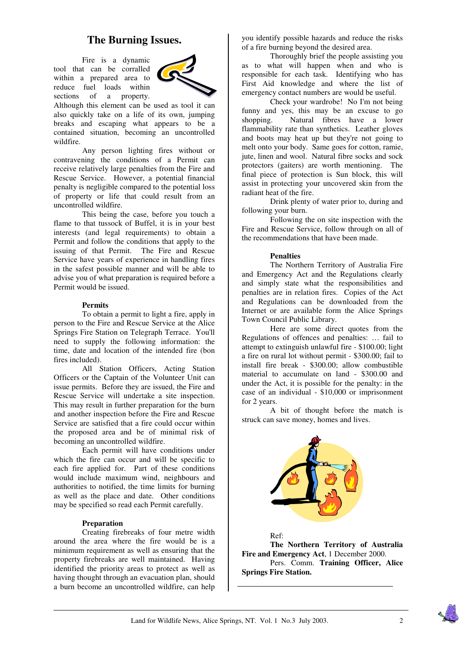# **The Burning Issues.**

Fire is a dynamic tool that can be corralled within a prepared area to reduce fuel loads within sections of a property.



Although this element can be used as tool it can also quickly take on a life of its own, jumping breaks and escaping what appears to be a contained situation, becoming an uncontrolled wildfire.

Any person lighting fires without or contravening the conditions of a Permit can receive relatively large penalties from the Fire and Rescue Service. However, a potential financial penalty is negligible compared to the potential loss of property or life that could result from an uncontrolled wildfire.

This being the case, before you touch a flame to that tussock of Buffel, it is in your best interests (and legal requirements) to obtain a Permit and follow the conditions that apply to the issuing of that Permit. The Fire and Rescue Service have years of experience in handling fires in the safest possible manner and will be able to advise you of what preparation is required before a Permit would be issued.

#### **Permits**

To obtain a permit to light a fire, apply in person to the Fire and Rescue Service at the Alice Springs Fire Station on Telegraph Terrace. You'll need to supply the following information: the time, date and location of the intended fire (bon fires included).

All Station Officers, Acting Station Officers or the Captain of the Volunteer Unit can issue permits. Before they are issued, the Fire and Rescue Service will undertake a site inspection. This may result in further preparation for the burn and another inspection before the Fire and Rescue Service are satisfied that a fire could occur within the proposed area and be of minimal risk of becoming an uncontrolled wildfire.

Each permit will have conditions under which the fire can occur and will be specific to each fire applied for. Part of these conditions would include maximum wind, neighbours and authorities to notified, the time limits for burning as well as the place and date. Other conditions may be specified so read each Permit carefully.

#### **Preparation**

Creating firebreaks of four metre width around the area where the fire would be is a minimum requirement as well as ensuring that the property firebreaks are well maintained. Having identified the priority areas to protect as well as having thought through an evacuation plan, should a burn become an uncontrolled wildfire, can help

you identify possible hazards and reduce the risks of a fire burning beyond the desired area.

Thoroughly brief the people assisting you as to what will happen when and who is responsible for each task. Identifying who has First Aid knowledge and where the list of emergency contact numbers are would be useful.

Check your wardrobe! No I'm not being funny and yes, this may be an excuse to go shopping. Natural fibres have a lower flammability rate than synthetics. Leather gloves and boots may heat up but they're not going to melt onto your body. Same goes for cotton, ramie, jute, linen and wool. Natural fibre socks and sock protectors (gaiters) are worth mentioning. The final piece of protection is Sun block, this will assist in protecting your uncovered skin from the radiant heat of the fire.

Drink plenty of water prior to, during and following your burn.

Following the on site inspection with the Fire and Rescue Service, follow through on all of the recommendations that have been made.

#### **Penalties**

The Northern Territory of Australia Fire and Emergency Act and the Regulations clearly and simply state what the responsibilities and penalties are in relation fires. Copies of the Act and Regulations can be downloaded from the Internet or are available form the Alice Springs Town Council Public Library.

Here are some direct quotes from the Regulations of offences and penalties: … fail to attempt to extinguish unlawful fire - \$100.00; light a fire on rural lot without permit - \$300.00; fail to install fire break - \$300.00; allow combustible material to accumulate on land - \$300.00 and under the Act, it is possible for the penalty: in the case of an individual - \$10,000 or imprisonment for 2 years.

A bit of thought before the match is struck can save money, homes and lives.



Ref:

**The Northern Territory of Australia Fire and Emergency Act**, 1 December 2000. Pers. Comm. **Training Officer, Alice Springs Fire Station.**

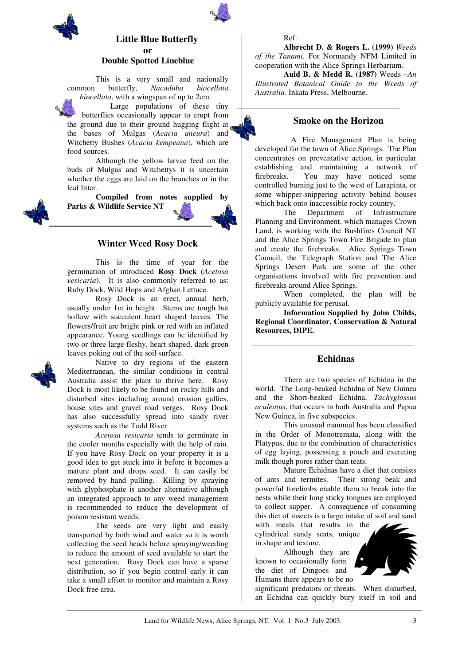

# **Little Blue Butterfly or Double Spotted Lineblue**

This is a very small and nationally common butterfly, *Nacaduba biocellata biocellata*, with a wingspan of up to 2cm.

Large populations of these tiny butterflies occasionally appear to erupt from the ground due to their ground hugging flight at the bases of Mulgas (*Acacia aneura*) and Witchetty Bushes (*Acacia kempeana*), which are food sources.

Although the yellow larvae feed on the buds of Mulgas and Witchettys it is uncertain whether the eggs are laid on the branches or in the leaf litter.

**Compiled from notes supplied by Parks & Wildlife Service NT** 

## **Winter Weed Rosy Dock**

This is the time of year for the germination of introduced **Rosy Dock** (*Acetosa vesicaria*). It is also commonly referred to as: Ruby Dock, Wild Hops and Afghan Lettuce.

Rosy Dock is an erect, annual herb, usually under 1m in height. Stems are tough but hollow with succulent heart shaped leaves. The flowers/fruit are bright pink or red with an inflated appearance. Young seedlings can be identified by two or three large fleshy, heart shaped, dark green leaves poking out of the soil surface.



Native to dry regions of the eastern Mediterranean, the similar conditions in central Australia assist the plant to thrive here. Rosy Dock is most likely to be found on rocky hills and disturbed sites including around erosion gullies, house sites and gravel road verges. Rosy Dock has also successfully spread into sandy river systems such as the Todd River.

*Acetosa vesicaria* tends to germinate in the cooler months especially with the help of rain. If you have Rosy Dock on your property it is a good idea to get stuck into it before it becomes a mature plant and drops seed. It can easily be removed by hand pulling. Killing by spraying with glyphosphate is another alternative although an integrated approach to any weed management is recommended to reduce the development of poison resistant weeds.

The seeds are very light and easily transported by both wind and water so it is worth collecting the seed heads before spraying/weeding to reduce the amount of seed available to start the next generation. Rosy Dock can have a sparse distribution, so if you begin control early it can take a small effort to monitor and maintain a Rosy Dock free area.

#### Ref:

**Albrecht D. & Rogers L. (1999)** *Weeds of the Tanami.* For Normandy NFM Limited in cooperation with the Alice Springs Herbarium.

**Auld B. & Medd R. (1987)** Weeds –*An Illustrated Botanical Guide to the Weeds of Australia.* Inkata Press, Melbourne.

# **Smoke on the Horizon**

A Fire Management Plan is being developed for the town of Alice Springs. The Plan concentrates on preventative action, in particular establishing and maintaining a network of firebreaks. You may have noticed some controlled burning just to the west of Larapinta, or some whipper-snippering activity behind houses which back onto inaccessible rocky country.

The Department of Infrastructure Planning and Environment, which manages Crown Land, is working with the Bushfires Council NT and the Alice Springs Town Fire Brigade to plan and create the firebreaks. Alice Springs Town Council, the Telegraph Station and The Alice Springs Desert Park are some of the other organisations involved with fire prevention and firebreaks around Alice Springs.

When completed, the plan will be publicly available for perusal.

**Information Supplied by John Childs, Regional Coordinator, Conservation & Natural Resources, DIPE.** 

#### **Echidnas**

There are two species of Echidna in the world. The Long-beaked Echidna of New Guinea and the Short-beaked Echidna, *Tachyglossus aculeatus*, that occurs in both Australia and Papua New Guinea, in five subspecies.

This unusual mammal has been classified in the Order of Monotremata, along with the Platypus, due to the combination of characteristics of egg laying, possessing a pouch and excreting milk though pores rather than teats.

Mature Echidnas have a diet that consists of ants and termites. Their strong beak and powerful forelimbs enable them to break into the nests while their long sticky tongues are employed to collect supper. A consequence of consuming this diet of insects is a large intake of soil and sand

with meals that results in the cylindrical sandy scats, unique in shape and texture.

Although they are known to occasionally form the diet of Dingoes and Humans there appears to be no

significant predators or threats. When disturbed, an Echidna can quickly bury itself in soil and